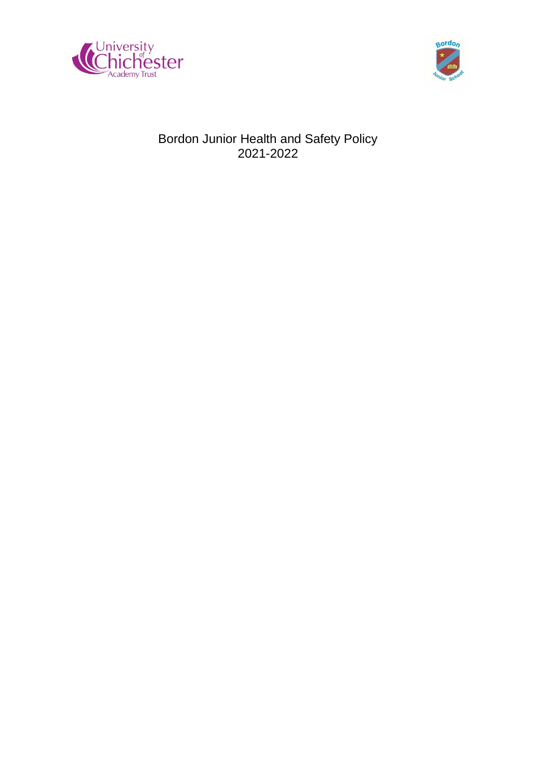



# Bordon Junior Health and Safety Policy 2021-2022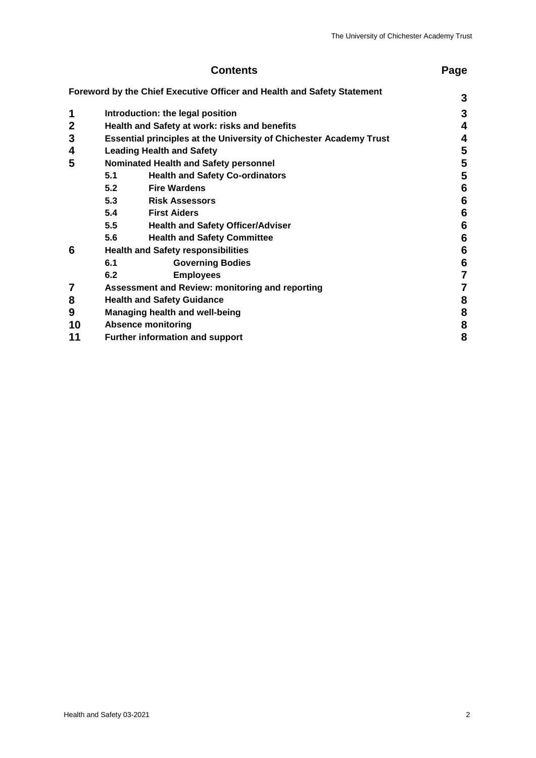| <b>Contents</b> |                                                                           |                                                                         | Page            |
|-----------------|---------------------------------------------------------------------------|-------------------------------------------------------------------------|-----------------|
|                 |                                                                           | Foreword by the Chief Executive Officer and Health and Safety Statement |                 |
|                 |                                                                           |                                                                         | 3               |
| 1               | Introduction: the legal position                                          |                                                                         |                 |
| $\mathbf{2}$    | Health and Safety at work: risks and benefits                             |                                                                         |                 |
| 3               | <b>Essential principles at the University of Chichester Academy Trust</b> |                                                                         |                 |
| 4               | <b>Leading Health and Safety</b>                                          |                                                                         |                 |
| 5               | <b>Nominated Health and Safety personnel</b>                              |                                                                         |                 |
|                 | 5.1                                                                       | <b>Health and Safety Co-ordinators</b>                                  | 5               |
|                 | 5.2                                                                       | <b>Fire Wardens</b>                                                     | $6\phantom{1}6$ |
|                 | 5.3                                                                       | <b>Risk Assessors</b>                                                   | $6\phantom{1}6$ |
|                 | 5.4                                                                       | <b>First Aiders</b>                                                     | $6\phantom{1}6$ |
|                 | 5.5                                                                       | <b>Health and Safety Officer/Adviser</b>                                | $6\phantom{1}6$ |
|                 | 5.6                                                                       | <b>Health and Safety Committee</b>                                      | 6               |
| 6               | <b>Health and Safety responsibilities</b>                                 |                                                                         |                 |
|                 | 6.1                                                                       | <b>Governing Bodies</b>                                                 | $6\phantom{1}6$ |
|                 | 6.2                                                                       | <b>Employees</b>                                                        | 7               |
| $\overline{7}$  | Assessment and Review: monitoring and reporting                           |                                                                         | 7               |
| 8               | <b>Health and Safety Guidance</b>                                         |                                                                         | 8               |
| 9               | Managing health and well-being                                            |                                                                         |                 |
| 10              | <b>Absence monitoring</b>                                                 |                                                                         |                 |
| 11              | <b>Further information and support</b>                                    |                                                                         | 8<br>8          |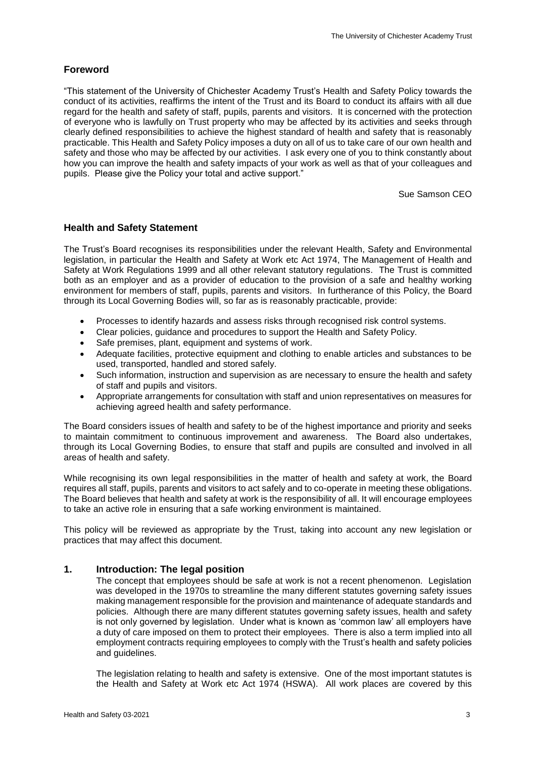## **Foreword**

"This statement of the University of Chichester Academy Trust's Health and Safety Policy towards the conduct of its activities, reaffirms the intent of the Trust and its Board to conduct its affairs with all due regard for the health and safety of staff, pupils, parents and visitors. It is concerned with the protection of everyone who is lawfully on Trust property who may be affected by its activities and seeks through clearly defined responsibilities to achieve the highest standard of health and safety that is reasonably practicable. This Health and Safety Policy imposes a duty on all of us to take care of our own health and safety and those who may be affected by our activities. I ask every one of you to think constantly about how you can improve the health and safety impacts of your work as well as that of your colleagues and pupils. Please give the Policy your total and active support."

Sue Samson CEO

## **Health and Safety Statement**

The Trust's Board recognises its responsibilities under the relevant Health, Safety and Environmental legislation, in particular the Health and Safety at Work etc Act 1974, The Management of Health and Safety at Work Regulations 1999 and all other relevant statutory regulations. The Trust is committed both as an employer and as a provider of education to the provision of a safe and healthy working environment for members of staff, pupils, parents and visitors. In furtherance of this Policy, the Board through its Local Governing Bodies will, so far as is reasonably practicable, provide:

- Processes to identify hazards and assess risks through recognised risk control systems.
- Clear policies, guidance and procedures to support the Health and Safety Policy.
- Safe premises, plant, equipment and systems of work.
- Adequate facilities, protective equipment and clothing to enable articles and substances to be used, transported, handled and stored safely.
- Such information, instruction and supervision as are necessary to ensure the health and safety of staff and pupils and visitors.
- Appropriate arrangements for consultation with staff and union representatives on measures for achieving agreed health and safety performance.

The Board considers issues of health and safety to be of the highest importance and priority and seeks to maintain commitment to continuous improvement and awareness. The Board also undertakes, through its Local Governing Bodies, to ensure that staff and pupils are consulted and involved in all areas of health and safety.

While recognising its own legal responsibilities in the matter of health and safety at work, the Board requires all staff, pupils, parents and visitors to act safely and to co-operate in meeting these obligations. The Board believes that health and safety at work is the responsibility of all. It will encourage employees to take an active role in ensuring that a safe working environment is maintained.

This policy will be reviewed as appropriate by the Trust, taking into account any new legislation or practices that may affect this document.

## **1. Introduction: The legal position**

The concept that employees should be safe at work is not a recent phenomenon. Legislation was developed in the 1970s to streamline the many different statutes governing safety issues making management responsible for the provision and maintenance of adequate standards and policies. Although there are many different statutes governing safety issues, health and safety is not only governed by legislation. Under what is known as 'common law' all employers have a duty of care imposed on them to protect their employees. There is also a term implied into all employment contracts requiring employees to comply with the Trust's health and safety policies and guidelines.

The legislation relating to health and safety is extensive. One of the most important statutes is the Health and Safety at Work etc Act 1974 (HSWA). All work places are covered by this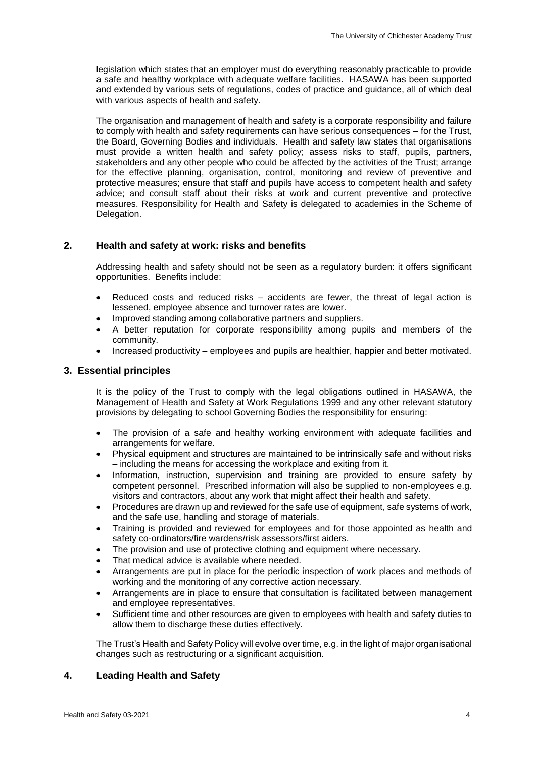legislation which states that an employer must do everything reasonably practicable to provide a safe and healthy workplace with adequate welfare facilities. HASAWA has been supported and extended by various sets of regulations, codes of practice and guidance, all of which deal with various aspects of health and safety.

The organisation and management of health and safety is a corporate responsibility and failure to comply with health and safety requirements can have serious consequences – for the Trust, the Board, Governing Bodies and individuals. Health and safety law states that organisations must provide a written health and safety policy; assess risks to staff, pupils, partners, stakeholders and any other people who could be affected by the activities of the Trust; arrange for the effective planning, organisation, control, monitoring and review of preventive and protective measures; ensure that staff and pupils have access to competent health and safety advice; and consult staff about their risks at work and current preventive and protective measures. Responsibility for Health and Safety is delegated to academies in the Scheme of Delegation.

## **2. Health and safety at work: risks and benefits**

Addressing health and safety should not be seen as a regulatory burden: it offers significant opportunities. Benefits include:

- Reduced costs and reduced risks accidents are fewer, the threat of legal action is lessened, employee absence and turnover rates are lower.
- Improved standing among collaborative partners and suppliers.
- A better reputation for corporate responsibility among pupils and members of the community.
- Increased productivity employees and pupils are healthier, happier and better motivated.

## **3. Essential principles**

It is the policy of the Trust to comply with the legal obligations outlined in HASAWA, the Management of Health and Safety at Work Regulations 1999 and any other relevant statutory provisions by delegating to school Governing Bodies the responsibility for ensuring:

- The provision of a safe and healthy working environment with adequate facilities and arrangements for welfare.
- Physical equipment and structures are maintained to be intrinsically safe and without risks – including the means for accessing the workplace and exiting from it.
- Information, instruction, supervision and training are provided to ensure safety by competent personnel. Prescribed information will also be supplied to non-employees e.g. visitors and contractors, about any work that might affect their health and safety.
- Procedures are drawn up and reviewed for the safe use of equipment, safe systems of work, and the safe use, handling and storage of materials.
- Training is provided and reviewed for employees and for those appointed as health and safety co-ordinators/fire wardens/risk assessors/first aiders.
- The provision and use of protective clothing and equipment where necessary.
- That medical advice is available where needed.
- Arrangements are put in place for the periodic inspection of work places and methods of working and the monitoring of any corrective action necessary.
- Arrangements are in place to ensure that consultation is facilitated between management and employee representatives.
- Sufficient time and other resources are given to employees with health and safety duties to allow them to discharge these duties effectively.

The Trust's Health and Safety Policy will evolve over time, e.g. in the light of major organisational changes such as restructuring or a significant acquisition.

#### **4. Leading Health and Safety**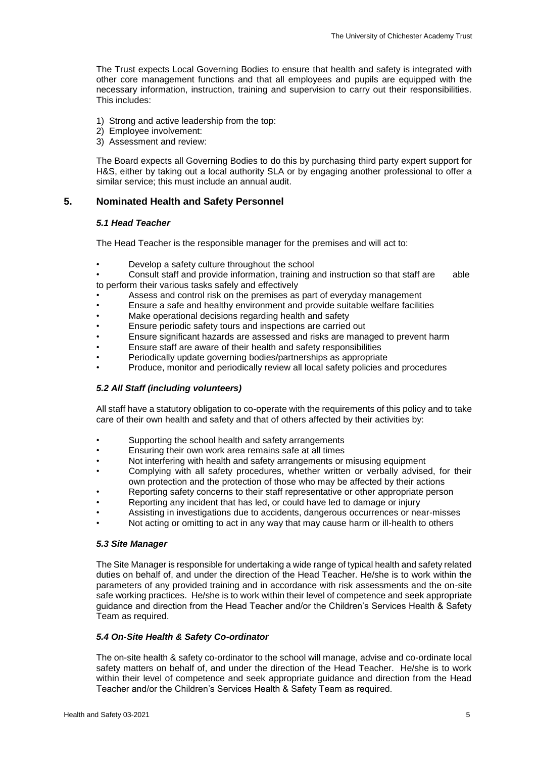The Trust expects Local Governing Bodies to ensure that health and safety is integrated with other core management functions and that all employees and pupils are equipped with the necessary information, instruction, training and supervision to carry out their responsibilities. This includes:

- 1)Strong and active leadership from the top:
- 2) Employee involvement:
- 3) Assessment and review:

The Board expects all Governing Bodies to do this by purchasing third party expert support for H&S, either by taking out a local authority SLA or by engaging another professional to offer a similar service; this must include an annual audit.

## **5. Nominated Health and Safety Personnel**

#### *5.1 Head Teacher*

The Head Teacher is the responsible manager for the premises and will act to:

• Develop a safety culture throughout the school

• Consult staff and provide information, training and instruction so that staff are able to perform their various tasks safely and effectively

- Assess and control risk on the premises as part of everyday management
- Ensure a safe and healthy environment and provide suitable welfare facilities
- Make operational decisions regarding health and safety
- Ensure periodic safety tours and inspections are carried out
- Ensure significant hazards are assessed and risks are managed to prevent harm
- Ensure staff are aware of their health and safety responsibilities
- Periodically update governing bodies/partnerships as appropriate
- Produce, monitor and periodically review all local safety policies and procedures

#### *5.2 All Staff (including volunteers)*

All staff have a statutory obligation to co-operate with the requirements of this policy and to take care of their own health and safety and that of others affected by their activities by:

- Supporting the school health and safety arrangements
- Ensuring their own work area remains safe at all times
- Not interfering with health and safety arrangements or misusing equipment
- Complying with all safety procedures, whether written or verbally advised, for their own protection and the protection of those who may be affected by their actions
- Reporting safety concerns to their staff representative or other appropriate person
- Reporting any incident that has led, or could have led to damage or injury
- Assisting in investigations due to accidents, dangerous occurrences or near-misses
- Not acting or omitting to act in any way that may cause harm or ill-health to others

#### *5.3 Site Manager*

The Site Manager is responsible for undertaking a wide range of typical health and safety related duties on behalf of, and under the direction of the Head Teacher. He/she is to work within the parameters of any provided training and in accordance with risk assessments and the on-site safe working practices. He/she is to work within their level of competence and seek appropriate guidance and direction from the Head Teacher and/or the Children's Services Health & Safety Team as required.

#### *5.4 On-Site Health & Safety Co-ordinator*

The on-site health & safety co-ordinator to the school will manage, advise and co-ordinate local safety matters on behalf of, and under the direction of the Head Teacher. He/she is to work within their level of competence and seek appropriate guidance and direction from the Head Teacher and/or the Children's Services Health & Safety Team as required.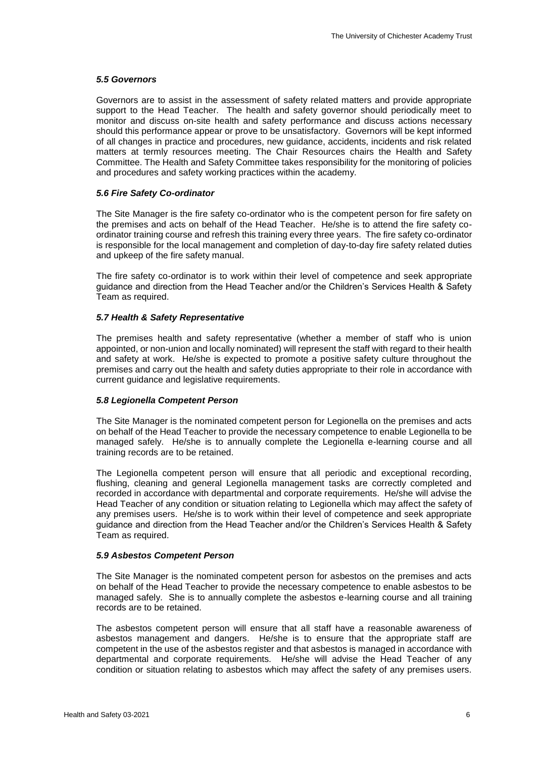#### *5.5 Governors*

Governors are to assist in the assessment of safety related matters and provide appropriate support to the Head Teacher. The health and safety governor should periodically meet to monitor and discuss on-site health and safety performance and discuss actions necessary should this performance appear or prove to be unsatisfactory. Governors will be kept informed of all changes in practice and procedures, new guidance, accidents, incidents and risk related matters at termly resources meeting. The Chair Resources chairs the Health and Safety Committee. The Health and Safety Committee takes responsibility for the monitoring of policies and procedures and safety working practices within the academy.

#### *5.6 Fire Safety Co-ordinator*

The Site Manager is the fire safety co-ordinator who is the competent person for fire safety on the premises and acts on behalf of the Head Teacher. He/she is to attend the fire safety coordinator training course and refresh this training every three years. The fire safety co-ordinator is responsible for the local management and completion of day-to-day fire safety related duties and upkeep of the fire safety manual.

The fire safety co-ordinator is to work within their level of competence and seek appropriate guidance and direction from the Head Teacher and/or the Children's Services Health & Safety Team as required.

#### *5.7 Health & Safety Representative*

The premises health and safety representative (whether a member of staff who is union appointed, or non-union and locally nominated) will represent the staff with regard to their health and safety at work. He/she is expected to promote a positive safety culture throughout the premises and carry out the health and safety duties appropriate to their role in accordance with current guidance and legislative requirements.

#### *5.8 Legionella Competent Person*

The Site Manager is the nominated competent person for Legionella on the premises and acts on behalf of the Head Teacher to provide the necessary competence to enable Legionella to be managed safely. He/she is to annually complete the Legionella e-learning course and all training records are to be retained.

The Legionella competent person will ensure that all periodic and exceptional recording, flushing, cleaning and general Legionella management tasks are correctly completed and recorded in accordance with departmental and corporate requirements. He/she will advise the Head Teacher of any condition or situation relating to Legionella which may affect the safety of any premises users. He/she is to work within their level of competence and seek appropriate guidance and direction from the Head Teacher and/or the Children's Services Health & Safety Team as required.

#### *5.9 Asbestos Competent Person*

The Site Manager is the nominated competent person for asbestos on the premises and acts on behalf of the Head Teacher to provide the necessary competence to enable asbestos to be managed safely. She is to annually complete the asbestos e-learning course and all training records are to be retained.

The asbestos competent person will ensure that all staff have a reasonable awareness of asbestos management and dangers. He/she is to ensure that the appropriate staff are competent in the use of the asbestos register and that asbestos is managed in accordance with departmental and corporate requirements. He/she will advise the Head Teacher of any condition or situation relating to asbestos which may affect the safety of any premises users.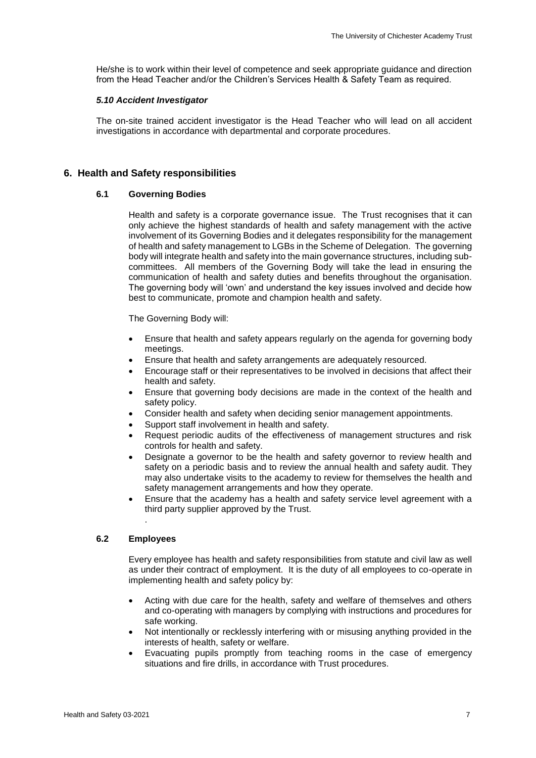He/she is to work within their level of competence and seek appropriate guidance and direction from the Head Teacher and/or the Children's Services Health & Safety Team as required.

#### *5.10 Accident Investigator*

The on-site trained accident investigator is the Head Teacher who will lead on all accident investigations in accordance with departmental and corporate procedures.

### **6. Health and Safety responsibilities**

#### **6.1 Governing Bodies**

Health and safety is a corporate governance issue. The Trust recognises that it can only achieve the highest standards of health and safety management with the active involvement of its Governing Bodies and it delegates responsibility for the management of health and safety management to LGBs in the Scheme of Delegation. The governing body will integrate health and safety into the main governance structures, including subcommittees. All members of the Governing Body will take the lead in ensuring the communication of health and safety duties and benefits throughout the organisation. The governing body will 'own' and understand the key issues involved and decide how best to communicate, promote and champion health and safety.

The Governing Body will:

- Ensure that health and safety appears regularly on the agenda for governing body meetings.
- Ensure that health and safety arrangements are adequately resourced.
- Encourage staff or their representatives to be involved in decisions that affect their health and safety.
- Ensure that governing body decisions are made in the context of the health and safety policy.
- Consider health and safety when deciding senior management appointments.
- Support staff involvement in health and safety.
- Request periodic audits of the effectiveness of management structures and risk controls for health and safety.
- Designate a governor to be the health and safety governor to review health and safety on a periodic basis and to review the annual health and safety audit. They may also undertake visits to the academy to review for themselves the health and safety management arrangements and how they operate.
- Ensure that the academy has a health and safety service level agreement with a third party supplier approved by the Trust.

#### **6.2 Employees**

.

Every employee has health and safety responsibilities from statute and civil law as well as under their contract of employment. It is the duty of all employees to co-operate in implementing health and safety policy by:

- Acting with due care for the health, safety and welfare of themselves and others and co-operating with managers by complying with instructions and procedures for safe working.
- Not intentionally or recklessly interfering with or misusing anything provided in the interests of health, safety or welfare.
- Evacuating pupils promptly from teaching rooms in the case of emergency situations and fire drills, in accordance with Trust procedures.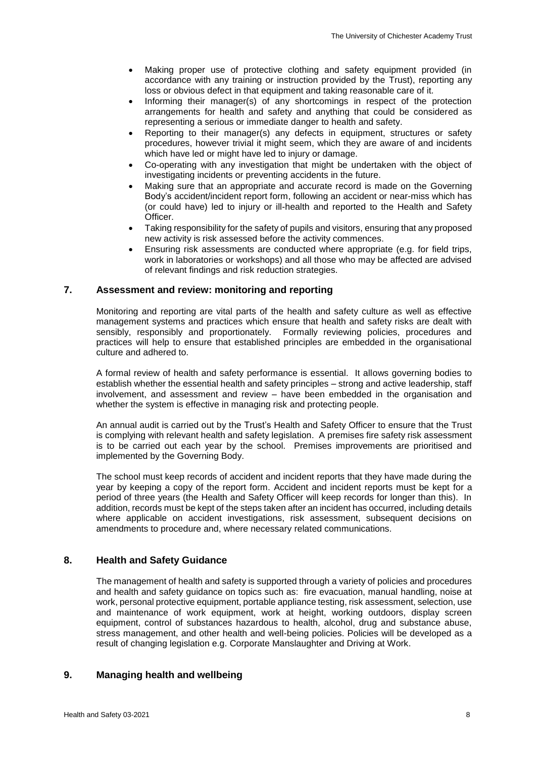- Making proper use of protective clothing and safety equipment provided (in accordance with any training or instruction provided by the Trust), reporting any loss or obvious defect in that equipment and taking reasonable care of it.
- Informing their manager(s) of any shortcomings in respect of the protection arrangements for health and safety and anything that could be considered as representing a serious or immediate danger to health and safety.
- Reporting to their manager(s) any defects in equipment, structures or safety procedures, however trivial it might seem, which they are aware of and incidents which have led or might have led to injury or damage.
- Co-operating with any investigation that might be undertaken with the object of investigating incidents or preventing accidents in the future.
- Making sure that an appropriate and accurate record is made on the Governing Body's accident/incident report form, following an accident or near-miss which has (or could have) led to injury or ill-health and reported to the Health and Safety Officer.
- Taking responsibility for the safety of pupils and visitors, ensuring that any proposed new activity is risk assessed before the activity commences.
- Ensuring risk assessments are conducted where appropriate (e.g. for field trips, work in laboratories or workshops) and all those who may be affected are advised of relevant findings and risk reduction strategies.

## **7. Assessment and review: monitoring and reporting**

Monitoring and reporting are vital parts of the health and safety culture as well as effective management systems and practices which ensure that health and safety risks are dealt with sensibly, responsibly and proportionately. Formally reviewing policies, procedures and practices will help to ensure that established principles are embedded in the organisational culture and adhered to.

A formal review of health and safety performance is essential. It allows governing bodies to establish whether the essential health and safety principles – strong and active leadership, staff involvement, and assessment and review – have been embedded in the organisation and whether the system is effective in managing risk and protecting people.

An annual audit is carried out by the Trust's Health and Safety Officer to ensure that the Trust is complying with relevant health and safety legislation. A premises fire safety risk assessment is to be carried out each year by the school. Premises improvements are prioritised and implemented by the Governing Body.

The school must keep records of accident and incident reports that they have made during the year by keeping a copy of the report form. Accident and incident reports must be kept for a period of three years (the Health and Safety Officer will keep records for longer than this). In addition, records must be kept of the steps taken after an incident has occurred, including details where applicable on accident investigations, risk assessment, subsequent decisions on amendments to procedure and, where necessary related communications.

## **8. Health and Safety Guidance**

The management of health and safety is supported through a variety of policies and procedures and health and safety guidance on topics such as: fire evacuation, manual handling, noise at work, personal protective equipment, portable appliance testing, risk assessment, selection, use and maintenance of work equipment, work at height, working outdoors, display screen equipment, control of substances hazardous to health, alcohol, drug and substance abuse, stress management, and other health and well-being policies. Policies will be developed as a result of changing legislation e.g. Corporate Manslaughter and Driving at Work.

#### **9. Managing health and wellbeing**